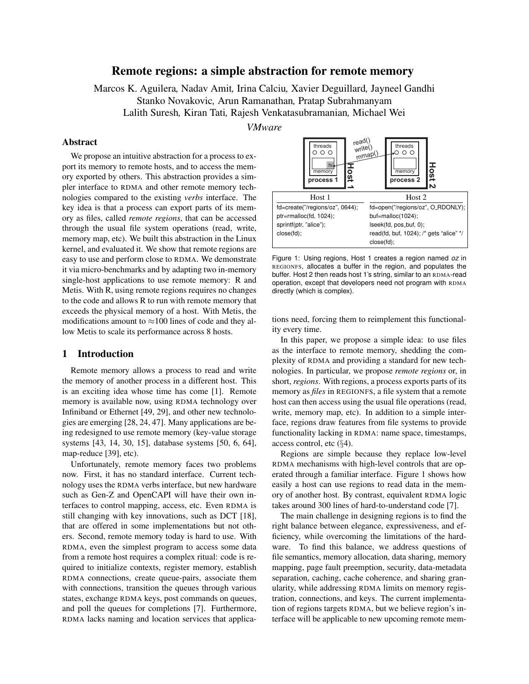# Remote regions: a simple abstraction for remote memory

Marcos K. Aguilera*,* Nadav Amit*,* Irina Calciu*,* Xavier Deguillard*,* Jayneel Gandhi Stanko Novakovic*,* Arun Ramanathan*,* Pratap Subrahmanyam Lalith Suresh*,* Kiran Tati*,* Rajesh Venkatasubramanian*,* Michael Wei

*VMware*

# Abstract

We propose an intuitive abstraction for a process to export its memory to remote hosts, and to access the memory exported by others. This abstraction provides a simpler interface to RDMA and other remote memory technologies compared to the existing *verbs* interface. The key idea is that a process can export parts of its memory as files, called *remote regions*, that can be accessed through the usual file system operations (read, write, memory map, etc). We built this abstraction in the Linux kernel, and evaluated it. We show that remote regions are easy to use and perform close to RDMA. We demonstrate it via micro-benchmarks and by adapting two in-memory single-host applications to use remote memory: R and Metis. With R, using remote regions requires no changes to the code and allows R to run with remote memory that exceeds the physical memory of a host. With Metis, the modifications amount to  $\approx$ 100 lines of code and they allow Metis to scale its performance across 8 hosts.

# 1 Introduction

Remote memory allows a process to read and write the memory of another process in a different host. This is an exciting idea whose time has come [1]. Remote memory is available now, using RDMA technology over Infiniband or Ethernet [49, 29], and other new technologies are emerging [28, 24, 47]. Many applications are being redesigned to use remote memory (key-value storage systems [43, 14, 30, 15], database systems [50, 6, 64], map-reduce [39], etc).

Unfortunately, remote memory faces two problems now. First, it has no standard interface. Current technology uses the RDMA verbs interface, but new hardware such as Gen-Z and OpenCAPI will have their own interfaces to control mapping, access, etc. Even RDMA is still changing with key innovations, such as DCT [18], that are offered in some implementations but not others. Second, remote memory today is hard to use. With RDMA, even the simplest program to access some data from a remote host requires a complex ritual: code is required to initialize contexts, register memory, establish RDMA connections, create queue-pairs, associate them with connections, transition the queues through various states, exchange RDMA keys, post commands on queues, and poll the queues for completions [7]. Furthermore, RDMA lacks naming and location services that applica-



Figure 1: Using regions, Host 1 creates a region named *oz* in REGIONFS, allocates a buffer in the region, and populates the buffer. Host 2 then reads host 1's string, similar to an RDMA-read operation, except that developers need not program with RDMA directly (which is complex).

tions need, forcing them to reimplement this functionality every time.

In this paper, we propose a simple idea: to use files as the interface to remote memory, shedding the complexity of RDMA and providing a standard for new technologies. In particular, we propose *remote regions* or, in short, *regions*. With regions, a process exports parts of its memory as *files* in REGIONFS, a file system that a remote host can then access using the usual file operations (read, write, memory map, etc). In addition to a simple interface, regions draw features from file systems to provide functionality lacking in RDMA: name space, timestamps, access control, etc  $(\S4)$ .

Regions are simple because they replace low-level RDMA mechanisms with high-level controls that are operated through a familiar interface. Figure 1 shows how easily a host can use regions to read data in the memory of another host. By contrast, equivalent RDMA logic takes around 300 lines of hard-to-understand code [7].

The main challenge in designing regions is to find the right balance between elegance, expressiveness, and efficiency, while overcoming the limitations of the hardware. To find this balance, we address questions of file semantics, memory allocation, data sharing, memory mapping, page fault preemption, security, data-metadata separation, caching, cache coherence, and sharing granularity, while addressing RDMA limits on memory registration, connections, and keys. The current implementation of regions targets RDMA, but we believe region's interface will be applicable to new upcoming remote mem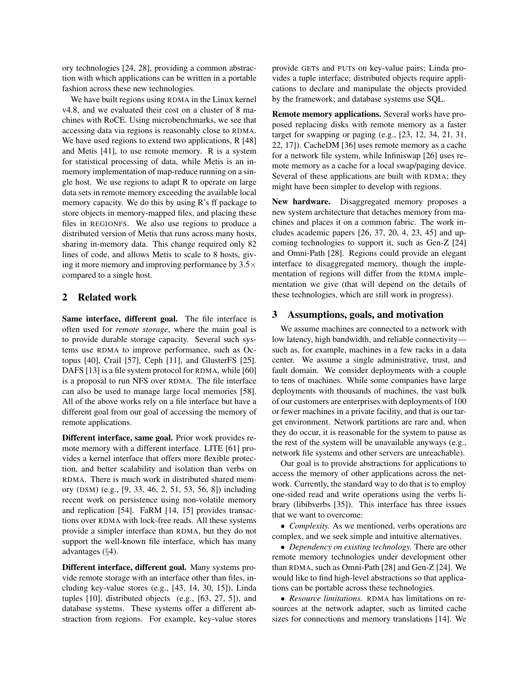ory technologies [24, 28], providing a common abstraction with which applications can be written in a portable fashion across these new technologies.

We have built regions using RDMA in the Linux kernel v4.8, and we evaluated their cost on a cluster of 8 machines with RoCE. Using microbenchmarks, we see that accessing data via regions is reasonably close to RDMA. We have used regions to extend two applications, R [48] and Metis [41], to use remote memory. R is a system for statistical processing of data, while Metis is an inmemory implementation of map-reduce running on a single host. We use regions to adapt R to operate on large data sets in remote memory exceeding the available local memory capacity. We do this by using R's ff package to store objects in memory-mapped files, and placing these files in REGIONFS. We also use regions to produce a distributed version of Metis that runs across many hosts, sharing in-memory data. This change required only 82 lines of code, and allows Metis to scale to 8 hosts, giving it more memory and improving performance by  $3.5\times$ compared to a single host.

## 2 Related work

Same interface, different goal. The file interface is often used for *remote storage*, where the main goal is to provide durable storage capacity. Several such systems use RDMA to improve performance, such as Octopus [40], Crail [57], Ceph [11], and GlusterFS [25]. DAFS [13] is a file system protocol for RDMA, while [60] is a proposal to run NFS over RDMA. The file interface can also be used to manage large local memories [58]. All of the above works rely on a file interface but have a different goal from our goal of accessing the memory of remote applications.

Different interface, same goal. Prior work provides remote memory with a different interface. LITE [61] provides a kernel interface that offers more flexible protection, and better scalability and isolation than verbs on RDMA. There is much work in distributed shared memory (DSM) (e.g., [9, 33, 46, 2, 51, 53, 56, 8]) including recent work on persistence using non-volatile memory and replication [54]. FaRM [14, 15] provides transactions over RDMA with lock-free reads. All these systems provide a simpler interface than RDMA, but they do not support the well-known file interface, which has many advantages (§4).

Different interface, different goal. Many systems provide remote storage with an interface other than files, including key-value stores (e.g., [43, 14, 30, 15]), Linda tuples [10], distributed objects (e.g., [63, 27, 5]), and database systems. These systems offer a different abstraction from regions. For example, key-value stores provide GETs and PUTs on key-value pairs; Linda provides a tuple interface; distributed objects require applications to declare and manipulate the objects provided by the framework; and database systems use SQL.

Remote memory applications. Several works have proposed replacing disks with remote memory as a faster target for swapping or paging (e.g., [23, 12, 34, 21, 31, 22, 17]). CacheDM [36] uses remote memory as a cache for a network file system, while Infiniswap [26] uses remote memory as a cache for a local swap/paging device. Several of these applications are built with RDMA; they might have been simpler to develop with regions.

New hardware. Disaggregated memory proposes a new system architecture that detaches memory from machines and places it on a common fabric. The work includes academic papers [26, 37, 20, 4, 23, 45] and upcoming technologies to support it, such as Gen-Z [24] and Omni-Path [28]. Regions could provide an elegant interface to disaggregated memory, though the implementation of regions will differ from the RDMA implementation we give (that will depend on the details of these technologies, which are still work in progress).

## 3 Assumptions, goals, and motivation

We assume machines are connected to a network with low latency, high bandwidth, and reliable connectivity such as, for example, machines in a few racks in a data center. We assume a single administrative, trust, and fault domain. We consider deployments with a couple to tens of machines. While some companies have large deployments with thousands of machines, the vast bulk of our customers are enterprises with deployments of 100 or fewer machines in a private facility, and that is our target environment. Network partitions are rare and, when they do occur, it is reasonable for the system to pause as the rest of the system will be unavailable anyways (e.g., network file systems and other servers are unreachable).

Our goal is to provide abstractions for applications to access the memory of other applications across the network. Currently, the standard way to do that is to employ one-sided read and write operations using the verbs library (libibverbs [35]). This interface has three issues that we want to overcome:

• *Complexity.* As we mentioned, verbs operations are complex, and we seek simple and intuitive alternatives.

• *Dependency on existing technology.* There are other remote memory technologies under development other than RDMA, such as Omni-Path [28] and Gen-Z [24]. We would like to find high-level abstractions so that applications can be portable across these technologies.

• *Resource limitations.* RDMA has limitations on resources at the network adapter, such as limited cache sizes for connections and memory translations [14]. We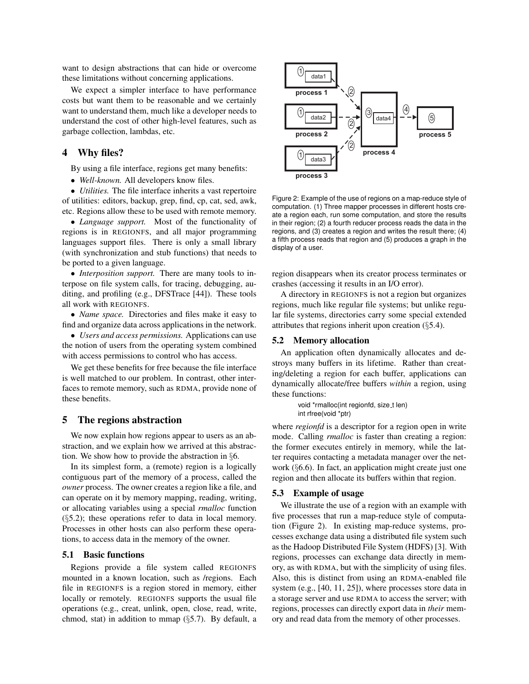want to design abstractions that can hide or overcome these limitations without concerning applications.

We expect a simpler interface to have performance costs but want them to be reasonable and we certainly want to understand them, much like a developer needs to understand the cost of other high-level features, such as garbage collection, lambdas, etc.

# 4 Why files?

By using a file interface, regions get many benefits:

• *Well-known.* All developers know files.

• *Utilities.* The file interface inherits a vast repertoire of utilities: editors, backup, grep, find, cp, cat, sed, awk, etc. Regions allow these to be used with remote memory.

• *Language support.* Most of the functionality of regions is in REGIONFS, and all major programming languages support files. There is only a small library (with synchronization and stub functions) that needs to be ported to a given language.

• *Interposition support*. There are many tools to interpose on file system calls, for tracing, debugging, auditing, and profiling (e.g., DFSTrace [44]). These tools all work with REGIONFS.

• *Name space.* Directories and files make it easy to find and organize data across applications in the network.

• *Users and access permissions.* Applications can use the notion of users from the operating system combined with access permissions to control who has access.

We get these benefits for free because the file interface is well matched to our problem. In contrast, other interfaces to remote memory, such as RDMA, provide none of these benefits.

# 5 The regions abstraction

We now explain how regions appear to users as an abstraction, and we explain how we arrived at this abstraction. We show how to provide the abstraction in §6.

In its simplest form, a (remote) region is a logically contiguous part of the memory of a process, called the *owner* process. The owner creates a region like a file, and can operate on it by memory mapping, reading, writing, or allocating variables using a special *rmalloc* function  $(\S 5.2)$ ; these operations refer to data in local memory. Processes in other hosts can also perform these operations, to access data in the memory of the owner.

# 5.1 Basic functions

Regions provide a file system called REGIONFS mounted in a known location, such as /regions. Each file in REGIONFS is a region stored in memory, either locally or remotely. REGIONFS supports the usual file operations (e.g., creat, unlink, open, close, read, write, chmod, stat) in addition to mmap  $(\S 5.7)$ . By default, a



Figure 2: Example of the use of regions on a map-reduce style of computation. (1) Three mapper processes in different hosts create a region each, run some computation, and store the results in their region; (2) a fourth reducer process reads the data in the regions, and (3) creates a region and writes the result there; (4) a fifth process reads that region and (5) produces a graph in the display of a user.

region disappears when its creator process terminates or crashes (accessing it results in an I/O error).

A directory in REGIONFS is not a region but organizes regions, much like regular file systems; but unlike regular file systems, directories carry some special extended attributes that regions inherit upon creation (§5.4).

#### 5.2 Memory allocation

An application often dynamically allocates and destroys many buffers in its lifetime. Rather than creating/deleting a region for each buffer, applications can dynamically allocate/free buffers *within* a region, using these functions:

```
void *rmalloc(int regionfd, size_t len)
int rfree(void *ptr)
```
where *regionfd* is a descriptor for a region open in write mode. Calling *rmalloc* is faster than creating a region: the former executes entirely in memory, while the latter requires contacting a metadata manager over the network (§6.6). In fact, an application might create just one region and then allocate its buffers within that region.

#### 5.3 Example of usage

We illustrate the use of a region with an example with five processes that run a map-reduce style of computation (Figure 2). In existing map-reduce systems, processes exchange data using a distributed file system such as the Hadoop Distributed File System (HDFS) [3]. With regions, processes can exchange data directly in memory, as with RDMA, but with the simplicity of using files. Also, this is distinct from using an RDMA-enabled file system (e.g., [40, 11, 25]), where processes store data in a storage server and use RDMA to access the server; with regions, processes can directly export data in *their* memory and read data from the memory of other processes.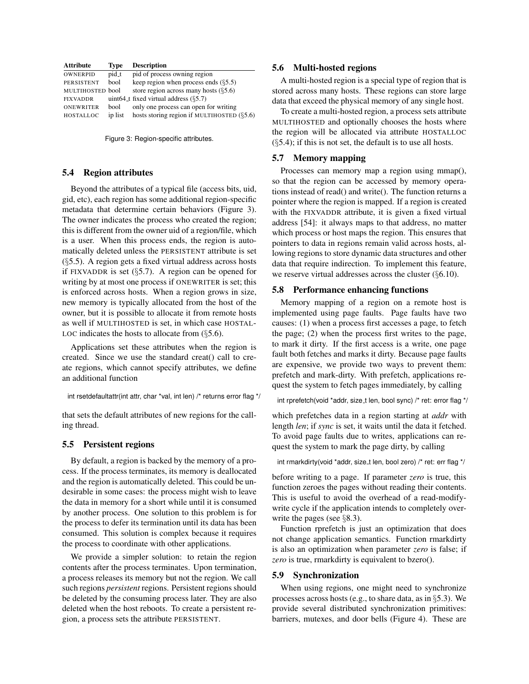| <b>Attribute</b>  | Type    | <b>Description</b>                           |
|-------------------|---------|----------------------------------------------|
| <b>OWNERPID</b>   | pid_t   | pid of process owning region                 |
| <b>PERSISTENT</b> | bool    | keep region when process ends $(\S 5.5)$     |
| MULTIHOSTED bool  |         | store region across many hosts $(65.6)$      |
| <b>FIXVADDR</b>   |         | uint $64$ t fixed virtual address $(85.7)$   |
| <b>ONEWRITER</b>  | bool    | only one process can open for writing        |
| HOSTALLOC         | ip list | hosts storing region if MULTIHOSTED $(85.6)$ |

Figure 3: Region-specific attributes.

# 5.4 Region attributes

Beyond the attributes of a typical file (access bits, uid, gid, etc), each region has some additional region-specific metadata that determine certain behaviors (Figure 3). The owner indicates the process who created the region; this is different from the owner uid of a region/file, which is a user. When this process ends, the region is automatically deleted unless the PERSISTENT attribute is set (§5.5). A region gets a fixed virtual address across hosts if FIXVADDR is set  $(\S5.7)$ . A region can be opened for writing by at most one process if ONEWRITER is set; this is enforced across hosts. When a region grows in size, new memory is typically allocated from the host of the owner, but it is possible to allocate it from remote hosts as well if MULTIHOSTED is set, in which case HOSTAL-LOC indicates the hosts to allocate from  $(\S 5.6)$ .

Applications set these attributes when the region is created. Since we use the standard creat() call to create regions, which cannot specify attributes, we define an additional function

int rsetdefaultattr(int attr, char \*val, int len) /\* returns error flag \*/

that sets the default attributes of new regions for the calling thread.

## 5.5 Persistent regions

By default, a region is backed by the memory of a process. If the process terminates, its memory is deallocated and the region is automatically deleted. This could be undesirable in some cases: the process might wish to leave the data in memory for a short while until it is consumed by another process. One solution to this problem is for the process to defer its termination until its data has been consumed. This solution is complex because it requires the process to coordinate with other applications.

We provide a simpler solution: to retain the region contents after the process terminates. Upon termination, a process releases its memory but not the region. We call such regions *persistent* regions. Persistent regions should be deleted by the consuming process later. They are also deleted when the host reboots. To create a persistent region, a process sets the attribute PERSISTENT.

#### 5.6 Multi-hosted regions

A multi-hosted region is a special type of region that is stored across many hosts. These regions can store large data that exceed the physical memory of any single host.

To create a multi-hosted region, a process sets attribute MULTIHOSTED and optionally chooses the hosts where the region will be allocated via attribute HOSTALLOC  $(\S$ 5.4); if this is not set, the default is to use all hosts.

# 5.7 Memory mapping

Processes can memory map a region using mmap(), so that the region can be accessed by memory operations instead of read() and write(). The function returns a pointer where the region is mapped. If a region is created with the FIXVADDR attribute, it is given a fixed virtual address [54]: it always maps to that address, no matter which process or host maps the region. This ensures that pointers to data in regions remain valid across hosts, allowing regions to store dynamic data structures and other data that require indirection. To implement this feature, we reserve virtual addresses across the cluster (§6.10).

## 5.8 Performance enhancing functions

Memory mapping of a region on a remote host is implemented using page faults. Page faults have two causes: (1) when a process first accesses a page, to fetch the page; (2) when the process first writes to the page, to mark it dirty. If the first access is a write, one page fault both fetches and marks it dirty. Because page faults are expensive, we provide two ways to prevent them: prefetch and mark-dirty. With prefetch, applications request the system to fetch pages immediately, by calling

```
int rprefetch(void *addr, size_t len, bool sync) /* ret: error flag */
```
which prefetches data in a region starting at *addr* with length *len*; if *sync* is set, it waits until the data it fetched. To avoid page faults due to writes, applications can request the system to mark the page dirty, by calling

```
int rmarkdirty(void *addr, size_t len, bool zero) /* ret: err flag */
```
before writing to a page. If parameter *zero* is true, this function zeroes the pages without reading their contents. This is useful to avoid the overhead of a read-modifywrite cycle if the application intends to completely overwrite the pages (see §8.3).

Function rprefetch is just an optimization that does not change application semantics. Function rmarkdirty is also an optimization when parameter *zero* is false; if *zero* is true, rmarkdirty is equivalent to bzero().

# 5.9 Synchronization

When using regions, one might need to synchronize processes across hosts (e.g., to share data, as in §5.3). We provide several distributed synchronization primitives: barriers, mutexes, and door bells (Figure 4). These are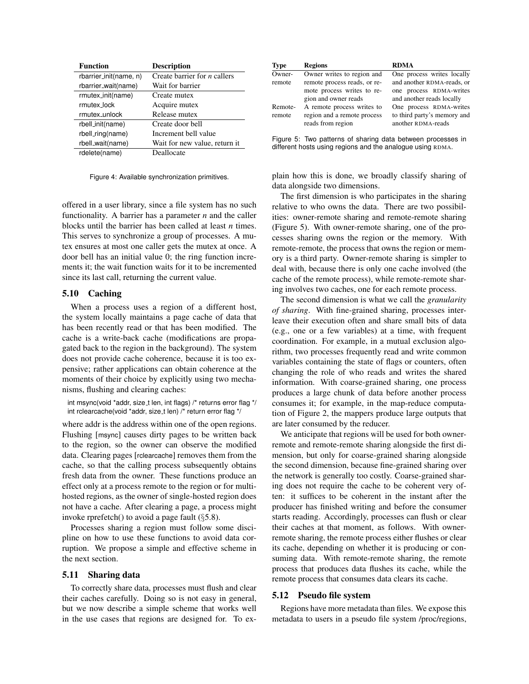| <b>Function</b>        | <b>Description</b>             |
|------------------------|--------------------------------|
| rbarrier_init(name, n) | Create barrier for $n$ callers |
| rbarrier_wait(name)    | Wait for barrier               |
| rmutex_init(name)      | Create mutex                   |
| rmutex lock            | Acquire mutex                  |
| rmutex_unlock          | Release mutex                  |
| rbell_init(name)       | Create door bell               |
| rbell_ring(name)       | Increment bell value           |
| rbell_wait(name)       | Wait for new value, return it  |
| rdelete(name)          | Deallocate                     |

Figure 4: Available synchronization primitives.

offered in a user library, since a file system has no such functionality. A barrier has a parameter *n* and the caller blocks until the barrier has been called at least *n* times. This serves to synchronize a group of processes. A mutex ensures at most one caller gets the mutex at once. A door bell has an initial value 0; the ring function increments it; the wait function waits for it to be incremented since its last call, returning the current value.

#### 5.10 Caching

When a process uses a region of a different host, the system locally maintains a page cache of data that has been recently read or that has been modified. The cache is a write-back cache (modifications are propagated back to the region in the background). The system does not provide cache coherence, because it is too expensive; rather applications can obtain coherence at the moments of their choice by explicitly using two mechanisms, flushing and clearing caches:

int msync(void \*addr, size\_t len, int flags) /\* returns error flag \*/ int rclearcache(void \*addr, size\_t len) /\* return error flag \*/

where addr is the address within one of the open regions. Flushing [msync] causes dirty pages to be written back to the region, so the owner can observe the modified data. Clearing pages [rclearcache] removes them from the cache, so that the calling process subsequently obtains fresh data from the owner. These functions produce an effect only at a process remote to the region or for multihosted regions, as the owner of single-hosted region does not have a cache. After clearing a page, a process might invoke rprefetch() to avoid a page fault (§5.8).

Processes sharing a region must follow some discipline on how to use these functions to avoid data corruption. We propose a simple and effective scheme in the next section.

# 5.11 Sharing data

To correctly share data, processes must flush and clear their caches carefully. Doing so is not easy in general, but we now describe a simple scheme that works well in the use cases that regions are designed for. To ex-

| <b>Type</b> | <b>Regions</b>                                   | <b>RDMA</b>                                       |
|-------------|--------------------------------------------------|---------------------------------------------------|
| Owner-      | Owner writes to region and                       | One process writes locally                        |
| remote      | remote process reads, or re-                     | and another RDMA-reads, or                        |
|             | mote process writes to re-                       | one process RDMA-writes                           |
|             | gion and owner reads                             | and another reads locally                         |
| Remote-     | A remote process writes to                       | One process RDMA-writes                           |
| remote      | region and a remote process<br>reads from region | to third party's memory and<br>another RDMA-reads |
|             |                                                  |                                                   |

Figure 5: Two patterns of sharing data between processes in different hosts using regions and the analogue using RDMA.

plain how this is done, we broadly classify sharing of data alongside two dimensions.

The first dimension is who participates in the sharing relative to who owns the data. There are two possibilities: owner-remote sharing and remote-remote sharing (Figure 5). With owner-remote sharing, one of the processes sharing owns the region or the memory. With remote-remote, the process that owns the region or memory is a third party. Owner-remote sharing is simpler to deal with, because there is only one cache involved (the cache of the remote process), while remote-remote sharing involves two caches, one for each remote process.

The second dimension is what we call the *granularity of sharing*. With fine-grained sharing, processes interleave their execution often and share small bits of data (e.g., one or a few variables) at a time, with frequent coordination. For example, in a mutual exclusion algorithm, two processes frequently read and write common variables containing the state of flags or counters, often changing the role of who reads and writes the shared information. With coarse-grained sharing, one process produces a large chunk of data before another process consumes it; for example, in the map-reduce computation of Figure 2, the mappers produce large outputs that are later consumed by the reducer.

We anticipate that regions will be used for both ownerremote and remote-remote sharing alongside the first dimension, but only for coarse-grained sharing alongside the second dimension, because fine-grained sharing over the network is generally too costly. Coarse-grained sharing does not require the cache to be coherent very often: it suffices to be coherent in the instant after the producer has finished writing and before the consumer starts reading. Accordingly, processes can flush or clear their caches at that moment, as follows. With ownerremote sharing, the remote process either flushes or clear its cache, depending on whether it is producing or consuming data. With remote-remote sharing, the remote process that produces data flushes its cache, while the remote process that consumes data clears its cache.

#### 5.12 Pseudo file system

Regions have more metadata than files. We expose this metadata to users in a pseudo file system /proc/regions,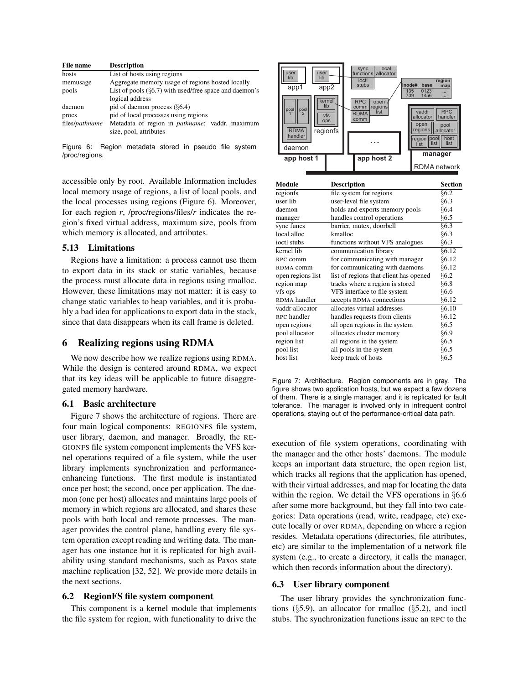| File name      | <b>Description</b>                                        |  |  |
|----------------|-----------------------------------------------------------|--|--|
| hosts          | List of hosts using regions                               |  |  |
| memusage       | Aggregate memory usage of regions hosted locally          |  |  |
| pools          | List of pools $(\S6.7)$ with used/free space and daemon's |  |  |
|                | logical address                                           |  |  |
| daemon         | pid of daemon process $(\S6.4)$                           |  |  |
| procs          | pid of local processes using regions                      |  |  |
| files/pathname | Metadata of region in <i>pathname</i> : vaddr, maximum    |  |  |
|                | size, pool, attributes                                    |  |  |

Figure 6: Region metadata stored in pseudo file system /proc/regions.

accessible only by root. Available Information includes local memory usage of regions, a list of local pools, and the local processes using regions (Figure 6). Moreover, for each region *r*, /proc/regions/files/*r* indicates the region's fixed virtual address, maximum size, pools from which memory is allocated, and attributes.

#### 5.13 Limitations

Regions have a limitation: a process cannot use them to export data in its stack or static variables, because the process must allocate data in regions using rmalloc. However, these limitations may not matter: it is easy to change static variables to heap variables, and it is probably a bad idea for applications to export data in the stack, since that data disappears when its call frame is deleted.

# 6 Realizing regions using RDMA

We now describe how we realize regions using RDMA. While the design is centered around RDMA, we expect that its key ideas will be applicable to future disaggregated memory hardware.

## 6.1 Basic architecture

Figure 7 shows the architecture of regions. There are four main logical components: REGIONFS file system, user library, daemon, and manager. Broadly, the RE-GIONFS file system component implements the VFS kernel operations required of a file system, while the user library implements synchronization and performanceenhancing functions. The first module is instantiated once per host; the second, once per application. The daemon (one per host) allocates and maintains large pools of memory in which regions are allocated, and shares these pools with both local and remote processes. The manager provides the control plane, handling every file system operation except reading and writing data. The manager has one instance but it is replicated for high availability using standard mechanisms, such as Paxos state machine replication [32, 52]. We provide more details in the next sections.

#### 6.2 RegionFS file system component

This component is a kernel module that implements the file system for region, with functionality to drive the



| Module            | <b>Description</b>                     | Section |
|-------------------|----------------------------------------|---------|
| regionfs          | file system for regions                | §6.2    |
| user lib          | user-level file system                 | §6.3    |
| daemon            | holds and exports memory pools         | §6.4    |
| manager           | handles control operations             | §6.5    |
| sync funcs        | barrier, mutex, doorbell               | §6.3    |
| local alloc       | kmalloc                                | §6.3    |
| ioctl stubs       | functions without VFS analogues        | §6.3    |
| kernel lib        | communication library                  | 66.12   |
| RPC comm          | for communicating with manager         | §6.12   |
| RDMA comm         | for communicating with daemons         | §6.12   |
| open regions list | list of regions that client has opened | §6.2    |
| region map        | tracks where a region is stored        | §6.8    |
| vfs ops           | VFS interface to file system           | §6.6    |
| RDMA handler      | accepts RDMA connections               | §6.12   |
| vaddr allocator   | allocates virtual addresses            | §6.10   |
| RPC handler       | handles requests from clients          | §6.12   |
| open regions      | all open regions in the system         | §6.5    |
| pool allocator    | allocates cluster memory               | §6.9    |
| region list       | all regions in the system              | §6.5    |
| pool list         | all pools in the system                | §6.5    |
| host list         | keep track of hosts                    | §6.5    |

Figure 7: Architecture. Region components are in gray. The figure shows two application hosts, but we expect a few dozens of them. There is a single manager, and it is replicated for fault tolerance. The manager is involved only in infrequent control operations, staying out of the performance-critical data path.

execution of file system operations, coordinating with the manager and the other hosts' daemons. The module keeps an important data structure, the open region list, which tracks all regions that the application has opened, with their virtual addresses, and map for locating the data within the region. We detail the VFS operations in §6.6 after some more background, but they fall into two categories: Data operations (read, write, readpage, etc) execute locally or over RDMA, depending on where a region resides. Metadata operations (directories, file attributes, etc) are similar to the implementation of a network file system (e.g., to create a directory, it calls the manager, which then records information about the directory).

## 6.3 User library component

The user library provides the synchronization functions  $(\S5.9)$ , an allocator for rmalloc  $(\S5.2)$ , and ioctl stubs. The synchronization functions issue an RPC to the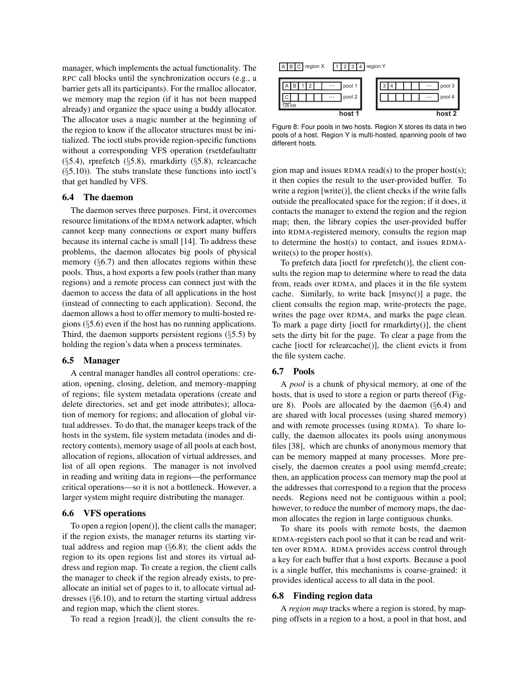manager, which implements the actual functionality. The RPC call blocks until the synchronization occurs (e.g., a barrier gets all its participants). For the rmalloc allocator, we memory map the region (if it has not been mapped already) and organize the space using a buddy allocator. The allocator uses a magic number at the beginning of the region to know if the allocator structures must be initialized. The ioctl stubs provide region-specific functions without a corresponding VFS operation (rsetdefaultattr (§5.4), rprefetch (§5.8), rmarkdirty (§5.8), rclearcache  $(\S 5.10)$ ). The stubs translate these functions into ioctl's that get handled by VFS.

## 6.4 The daemon

The daemon serves three purposes. First, it overcomes resource limitations of the RDMA network adapter, which cannot keep many connections or export many buffers because its internal cache is small [14]. To address these problems, the daemon allocates big pools of physical memory  $(\S6.7)$  and then allocates regions within these pools. Thus, a host exports a few pools (rather than many regions) and a remote process can connect just with the daemon to access the data of all applications in the host (instead of connecting to each application). Second, the daemon allows a host to offer memory to multi-hosted regions (§5.6) even if the host has no running applications. Third, the daemon supports persistent regions  $(\S 5.5)$  by holding the region's data when a process terminates.

#### 6.5 Manager

A central manager handles all control operations: creation, opening, closing, deletion, and memory-mapping of regions; file system metadata operations (create and delete directories, set and get inode attributes); allocation of memory for regions; and allocation of global virtual addresses. To do that, the manager keeps track of the hosts in the system, file system metadata (inodes and directory contents), memory usage of all pools at each host, allocation of regions, allocation of virtual addresses, and list of all open regions. The manager is not involved in reading and writing data in regions—the performance critical operations—so it is not a bottleneck. However, a larger system might require distributing the manager.

## 6.6 VFS operations

To open a region [open()], the client calls the manager; if the region exists, the manager returns its starting virtual address and region map (§6.8); the client adds the region to its open regions list and stores its virtual address and region map. To create a region, the client calls the manager to check if the region already exists, to preallocate an initial set of pages to it, to allocate virtual addresses (§6.10), and to return the starting virtual address and region map, which the client stores.

To read a region [read()], the client consults the re-





Figure 8: Four pools in two hosts. Region X stores its data in two pools of a host. Region Y is multi-hosted, spanning pools of two different hosts.

gion map and issues RDMA read(s) to the proper host(s); it then copies the result to the user-provided buffer. To write a region [write()], the client checks if the write falls outside the preallocated space for the region; if it does, it contacts the manager to extend the region and the region map; then, the library copies the user-provided buffer into RDMA-registered memory, consults the region map to determine the host(s) to contact, and issues RDMAwrite(s) to the proper host(s).

To prefetch data [ioctl for rprefetch()], the client consults the region map to determine where to read the data from, reads over RDMA, and places it in the file system cache. Similarly, to write back [msync()] a page, the client consults the region map, write-protects the page, writes the page over RDMA, and marks the page clean. To mark a page dirty [ioctl for rmarkdirty()], the client sets the dirty bit for the page. To clear a page from the cache [ioctl for rclearcache()], the client evicts it from the file system cache.

#### 6.7 Pools

A *pool* is a chunk of physical memory, at one of the hosts, that is used to store a region or parts thereof (Figure 8). Pools are allocated by the daemon  $(\S6.4)$  and are shared with local processes (using shared memory) and with remote processes (using RDMA). To share locally, the daemon allocates its pools using anonymous files [38], which are chunks of anonymous memory that can be memory mapped at many processes. More precisely, the daemon creates a pool using memfd create; then, an application process can memory map the pool at the addresses that correspond to a region that the process needs. Regions need not be contiguous within a pool; however, to reduce the number of memory maps, the daemon allocates the region in large contiguous chunks.

To share its pools with remote hosts, the daemon RDMA-registers each pool so that it can be read and written over RDMA. RDMA provides access control through a key for each buffer that a host exports. Because a pool is a single buffer, this mechanisms is coarse-grained: it provides identical access to all data in the pool.

#### 6.8 Finding region data

A *region map* tracks where a region is stored, by mapping offsets in a region to a host, a pool in that host, and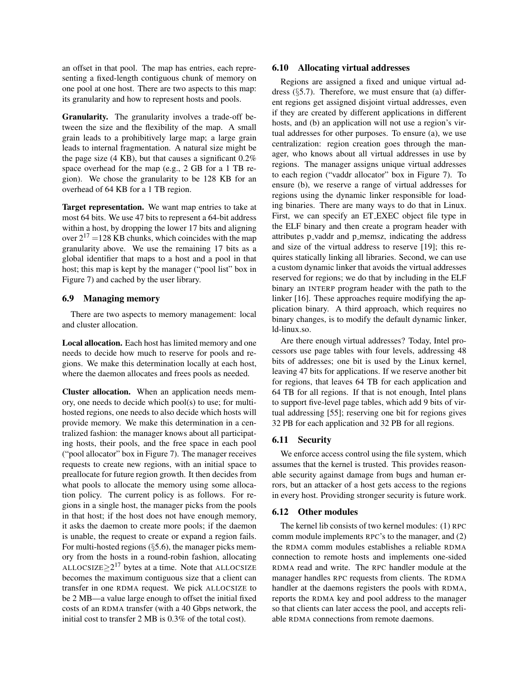an offset in that pool. The map has entries, each representing a fixed-length contiguous chunk of memory on one pool at one host. There are two aspects to this map: its granularity and how to represent hosts and pools.

Granularity. The granularity involves a trade-off between the size and the flexibility of the map. A small grain leads to a prohibitively large map; a large grain leads to internal fragmentation. A natural size might be the page size  $(4 \text{ KB})$ , but that causes a significant  $0.2\%$ space overhead for the map (e.g., 2 GB for a 1 TB region). We chose the granularity to be 128 KB for an overhead of 64 KB for a 1 TB region.

Target representation. We want map entries to take at most 64 bits. We use 47 bits to represent a 64-bit address within a host, by dropping the lower 17 bits and aligning over  $2^{17}$  =128 KB chunks, which coincides with the map granularity above. We use the remaining 17 bits as a global identifier that maps to a host and a pool in that host; this map is kept by the manager ("pool list" box in Figure 7) and cached by the user library.

# 6.9 Managing memory

There are two aspects to memory management: local and cluster allocation.

Local allocation. Each host has limited memory and one needs to decide how much to reserve for pools and regions. We make this determination locally at each host, where the daemon allocates and frees pools as needed.

Cluster allocation. When an application needs memory, one needs to decide which pool(s) to use; for multihosted regions, one needs to also decide which hosts will provide memory. We make this determination in a centralized fashion: the manager knows about all participating hosts, their pools, and the free space in each pool ("pool allocator" box in Figure 7). The manager receives requests to create new regions, with an initial space to preallocate for future region growth. It then decides from what pools to allocate the memory using some allocation policy. The current policy is as follows. For regions in a single host, the manager picks from the pools in that host; if the host does not have enough memory, it asks the daemon to create more pools; if the daemon is unable, the request to create or expand a region fails. For multi-hosted regions  $(\S 5.6)$ , the manager picks memory from the hosts in a round-robin fashion, allocating ALLOCSIZE $\geq 2^{17}$  bytes at a time. Note that ALLOCSIZE becomes the maximum contiguous size that a client can transfer in one RDMA request. We pick ALLOCSIZE to be 2 MB—a value large enough to offset the initial fixed costs of an RDMA transfer (with a 40 Gbps network, the initial cost to transfer 2 MB is 0.3% of the total cost).

#### 6.10 Allocating virtual addresses

Regions are assigned a fixed and unique virtual address  $(\S5.7)$ . Therefore, we must ensure that (a) different regions get assigned disjoint virtual addresses, even if they are created by different applications in different hosts, and (b) an application will not use a region's virtual addresses for other purposes. To ensure (a), we use centralization: region creation goes through the manager, who knows about all virtual addresses in use by regions. The manager assigns unique virtual addresses to each region ("vaddr allocator" box in Figure 7). To ensure (b), we reserve a range of virtual addresses for regions using the dynamic linker responsible for loading binaries. There are many ways to do that in Linux. First, we can specify an ET EXEC object file type in the ELF binary and then create a program header with attributes p\_vaddr and p\_memsz, indicating the address and size of the virtual address to reserve [19]; this requires statically linking all libraries. Second, we can use a custom dynamic linker that avoids the virtual addresses reserved for regions; we do that by including in the ELF binary an INTERP program header with the path to the linker [16]. These approaches require modifying the application binary. A third approach, which requires no binary changes, is to modify the default dynamic linker, ld-linux.so.

Are there enough virtual addresses? Today, Intel processors use page tables with four levels, addressing 48 bits of addresses; one bit is used by the Linux kernel, leaving 47 bits for applications. If we reserve another bit for regions, that leaves 64 TB for each application and 64 TB for all regions. If that is not enough, Intel plans to support five-level page tables, which add 9 bits of virtual addressing [55]; reserving one bit for regions gives 32 PB for each application and 32 PB for all regions.

#### 6.11 Security

We enforce access control using the file system, which assumes that the kernel is trusted. This provides reasonable security against damage from bugs and human errors, but an attacker of a host gets access to the regions in every host. Providing stronger security is future work.

# 6.12 Other modules

The kernel lib consists of two kernel modules: (1) RPC comm module implements RPC's to the manager, and (2) the RDMA comm modules establishes a reliable RDMA connection to remote hosts and implements one-sided RDMA read and write. The RPC handler module at the manager handles RPC requests from clients. The RDMA handler at the daemons registers the pools with RDMA, reports the RDMA key and pool address to the manager so that clients can later access the pool, and accepts reliable RDMA connections from remote daemons.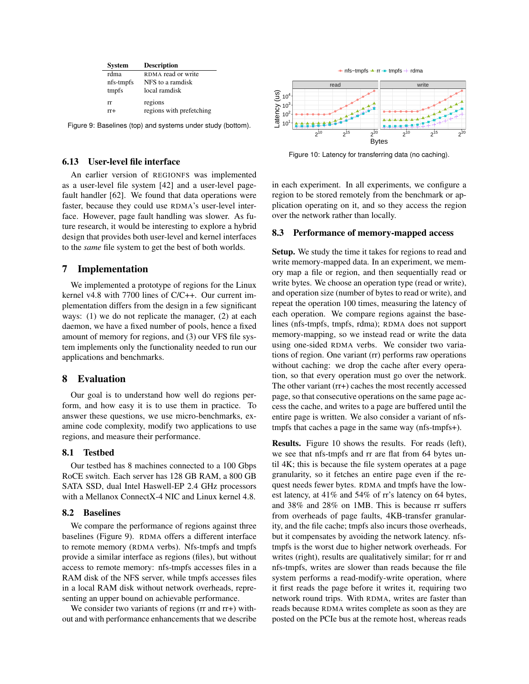| <b>System</b> | <b>Description</b>       |
|---------------|--------------------------|
| rdma          | RDMA read or write       |
| nfs-tmpfs     | NFS to a ramdisk         |
| tmpfs         | local ramdisk            |
| rr            | regions                  |
| $rr+$         | regions with prefetching |

Figure 9: Baselines (top) and systems under study (bottom).

## 6.13 User-level file interface

An earlier version of REGIONFS was implemented as a user-level file system [42] and a user-level pagefault handler [62]. We found that data operations were faster, because they could use RDMA's user-level interface. However, page fault handling was slower. As future research, it would be interesting to explore a hybrid design that provides both user-level and kernel interfaces to the *same* file system to get the best of both worlds.

#### 7 Implementation

We implemented a prototype of regions for the Linux kernel v4.8 with 7700 lines of C/C++. Our current implementation differs from the design in a few significant ways: (1) we do not replicate the manager, (2) at each daemon, we have a fixed number of pools, hence a fixed amount of memory for regions, and (3) our VFS file system implements only the functionality needed to run our applications and benchmarks.

# 8 Evaluation

Our goal is to understand how well do regions perform, and how easy it is to use them in practice. To answer these questions, we use micro-benchmarks, examine code complexity, modify two applications to use regions, and measure their performance.

## 8.1 Testbed

Our testbed has 8 machines connected to a 100 Gbps RoCE switch. Each server has 128 GB RAM, a 800 GB SATA SSD, dual Intel Haswell-EP 2.4 GHz processors with a Mellanox ConnectX-4 NIC and Linux kernel 4.8.

## 8.2 Baselines

We compare the performance of regions against three baselines (Figure 9). RDMA offers a different interface to remote memory (RDMA verbs). Nfs-tmpfs and tmpfs provide a similar interface as regions (files), but without access to remote memory: nfs-tmpfs accesses files in a RAM disk of the NFS server, while tmpfs accesses files in a local RAM disk without network overheads, representing an upper bound on achievable performance.

We consider two variants of regions (rr and rr+) without and with performance enhancements that we describe



Figure 10: Latency for transferring data (no caching).

in each experiment. In all experiments, we configure a region to be stored remotely from the benchmark or application operating on it, and so they access the region over the network rather than locally.

#### 8.3 Performance of memory-mapped access

Setup. We study the time it takes for regions to read and write memory-mapped data. In an experiment, we memory map a file or region, and then sequentially read or write bytes. We choose an operation type (read or write), and operation size (number of bytes to read or write), and repeat the operation 100 times, measuring the latency of each operation. We compare regions against the baselines (nfs-tmpfs, tmpfs, rdma); RDMA does not support memory-mapping, so we instead read or write the data using one-sided RDMA verbs. We consider two variations of region. One variant (rr) performs raw operations without caching: we drop the cache after every operation, so that every operation must go over the network. The other variant (rr+) caches the most recently accessed page, so that consecutive operations on the same page access the cache, and writes to a page are buffered until the entire page is written. We also consider a variant of nfstmpfs that caches a page in the same way (nfs-tmpfs+).

Results. Figure 10 shows the results. For reads (left), we see that nfs-tmpfs and rr are flat from 64 bytes until 4K; this is because the file system operates at a page granularity, so it fetches an entire page even if the request needs fewer bytes. RDMA and tmpfs have the lowest latency, at 41% and 54% of rr's latency on 64 bytes, and 38% and 28% on 1MB. This is because rr suffers from overheads of page faults, 4KB-transfer granularity, and the file cache; tmpfs also incurs those overheads, but it compensates by avoiding the network latency. nfstmpfs is the worst due to higher network overheads. For writes (right), results are qualitatively similar; for  $rr$  and nfs-tmpfs, writes are slower than reads because the file system performs a read-modify-write operation, where it first reads the page before it writes it, requiring two network round trips. With RDMA, writes are faster than reads because RDMA writes complete as soon as they are posted on the PCIe bus at the remote host, whereas reads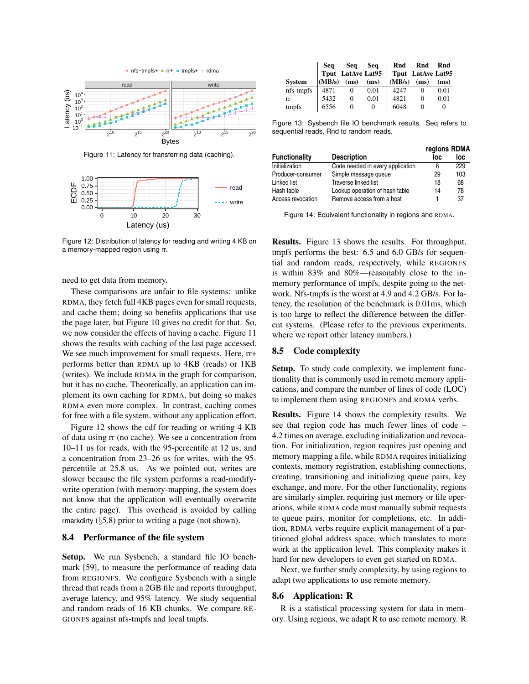

Figure 11: Latency for transferring data (caching).



Figure 12: Distribution of latency for reading and writing 4 KB on a memory-mapped region using rr.

need to get data from memory.

These comparisons are unfair to file systems: unlike RDMA, they fetch full 4KB pages even for small requests, and cache them; doing so benefits applications that use the page later, but Figure 10 gives no credit for that. So, we now consider the effects of having a cache. Figure 11 shows the results with caching of the last page accessed. We see much improvement for small requests. Here, rr+ performs better than RDMA up to 4KB (reads) or 1KB (writes). We include RDMA in the graph for comparison, but it has no cache. Theoretically, an application can implement its own caching for RDMA, but doing so makes RDMA even more complex. In contrast, caching comes for free with a file system, without any application effort.

Figure 12 shows the cdf for reading or writing 4 KB of data using rr (no cache). We see a concentration from 10–11 us for reads, with the 95-percentile at 12 us; and a concentration from 23–26 us for writes, with the 95 percentile at 25.8 us. As we pointed out, writes are slower because the file system performs a read-modifywrite operation (with memory-mapping, the system does not know that the application will eventually overwrite the entire page). This overhead is avoided by calling rmarkdirty  $(\S 5.8)$  prior to writing a page (not shown).

#### 8.4 Performance of the file system

Setup. We run Sysbench, a standard file IO benchmark [59], to measure the performance of reading data from REGIONFS. We configure Sysbench with a single thread that reads from a 2GB file and reports throughput, average latency, and 95% latency. We study sequential and random reads of 16 KB chunks. We compare RE-GIONFS against nfs-tmpfs and local tmpfs.

|               |                    |          |          | Seq Seq Seq Rnd Rnd Rnd<br>Tput LatAve Lat95 Tput LatAve Lat95 |      |
|---------------|--------------------|----------|----------|----------------------------------------------------------------|------|
| <b>System</b> | $(MB/s)$ (ms) (ms) |          |          | $(MB/s)$ (ms) (ms)                                             |      |
| nfs-tmpfs     | 4871               | 0        | 0.01     | 4247                                                           | 0.01 |
| rr            | 5432               | 0        | 0.01     | 4821                                                           | 0.01 |
| tmpfs         | 6556               | $\Omega$ | $\theta$ | 6048                                                           |      |

Figure 13: Sysbench file IO benchmark results. Seq refers to sequential reads, Rnd to random reads.

|                      |                                  | regions RDMA |     |
|----------------------|----------------------------------|--------------|-----|
| <b>Functionality</b> | <b>Description</b>               | loc          | loc |
| Initialization       | Code needed in every application | 6            | 229 |
| Producer-consumer    | Simple message queue             | 29           | 103 |
| Linked list          | Traverse linked list             | 18           | 68  |
| Hash table           | Lookup operation of hash table   | 14           | 78  |
| Access revocation    | Remove access from a host        |              | 37  |

Figure 14: Equivalent functionality in regions and RDMA.

Results. Figure 13 shows the results. For throughput, tmpfs performs the best: 6.5 and 6.0 GB/s for sequential and random reads, respectively, while REGIONFS is within 83% and 80%—reasonably close to the inmemory performance of tmpfs, despite going to the network. Nfs-tmpfs is the worst at 4.9 and 4.2 GB/s. For latency, the resolution of the benchmark is 0.01ms, which is too large to reflect the difference between the different systems. (Please refer to the previous experiments, where we report other latency numbers.)

## 8.5 Code complexity

Setup. To study code complexity, we implement functionality that is commonly used in remote memory applications, and compare the number of lines of code (LOC) to implement them using REGIONFS and RDMA verbs.

Results. Figure 14 shows the complexity results. We see that region code has much fewer lines of code – 4.2 times on average, excluding initialization and revocation. For initialization, region requires just opening and memory mapping a file, while RDMA requires initializing contexts, memory registration, establishing connections, creating, transitioning and initializing queue pairs, key exchange, and more. For the other functionality, regions are similarly simpler, requiring just memory or file operations, while RDMA code must manually submit requests to queue pairs, monitor for completions, etc. In addition, RDMA verbs require explicit management of a partitioned global address space, which translates to more work at the application level. This complexity makes it hard for new developers to even get started on RDMA.

Next, we further study complexity, by using regions to adapt two applications to use remote memory.

#### 8.6 Application: R

R is a statistical processing system for data in memory. Using regions, we adapt R to use remote memory. R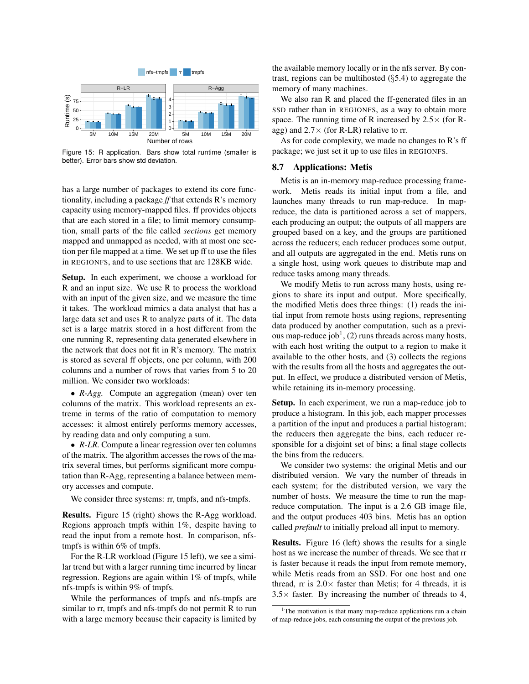

Figure 15: R application. Bars show total runtime (smaller is better). Error bars show std deviation.

has a large number of packages to extend its core functionality, including a package *ff* that extends R's memory capacity using memory-mapped files. ff provides objects that are each stored in a file; to limit memory consumption, small parts of the file called *sections* get memory mapped and unmapped as needed, with at most one section per file mapped at a time. We set up ff to use the files in REGIONFS, and to use sections that are 128KB wide.

Setup. In each experiment, we choose a workload for R and an input size. We use R to process the workload with an input of the given size, and we measure the time it takes. The workload mimics a data analyst that has a large data set and uses R to analyze parts of it. The data set is a large matrix stored in a host different from the one running R, representing data generated elsewhere in the network that does not fit in R's memory. The matrix is stored as several ff objects, one per column, with 200 columns and a number of rows that varies from 5 to 20 million. We consider two workloads:

• *R-Agg.* Compute an aggregation (mean) over ten columns of the matrix. This workload represents an extreme in terms of the ratio of computation to memory accesses: it almost entirely performs memory accesses, by reading data and only computing a sum.

• *R-LR*. Compute a linear regression over ten columns of the matrix. The algorithm accesses the rows of the matrix several times, but performs significant more computation than R-Agg, representing a balance between memory accesses and compute.

We consider three systems: rr, tmpfs, and nfs-tmpfs.

Results. Figure 15 (right) shows the R-Agg workload. Regions approach tmpfs within 1%, despite having to read the input from a remote host. In comparison, nfstmpfs is within 6% of tmpfs.

For the R-LR workload (Figure 15 left), we see a similar trend but with a larger running time incurred by linear regression. Regions are again within 1% of tmpfs, while nfs-tmpfs is within 9% of tmpfs.

While the performances of tmpfs and nfs-tmpfs are similar to rr, tmpfs and nfs-tmpfs do not permit R to run with a large memory because their capacity is limited by the available memory locally or in the nfs server. By contrast, regions can be multihosted (§5.4) to aggregate the memory of many machines.

We also ran R and placed the ff-generated files in an SSD rather than in REGIONFS, as a way to obtain more space. The running time of R increased by  $2.5 \times$  (for Ragg) and  $2.7 \times$  (for R-LR) relative to rr.

As for code complexity, we made no changes to R's ff package; we just set it up to use files in REGIONFS.

#### 8.7 Applications: Metis

Metis is an in-memory map-reduce processing framework. Metis reads its initial input from a file, and launches many threads to run map-reduce. In mapreduce, the data is partitioned across a set of mappers, each producing an output; the outputs of all mappers are grouped based on a key, and the groups are partitioned across the reducers; each reducer produces some output, and all outputs are aggregated in the end. Metis runs on a single host, using work queues to distribute map and reduce tasks among many threads.

We modify Metis to run across many hosts, using regions to share its input and output. More specifically, the modified Metis does three things: (1) reads the initial input from remote hosts using regions, representing data produced by another computation, such as a previous map-reduce job<sup>1</sup>, (2) runs threads across many hosts, with each host writing the output to a region to make it available to the other hosts, and (3) collects the regions with the results from all the hosts and aggregates the output. In effect, we produce a distributed version of Metis, while retaining its in-memory processing.

Setup. In each experiment, we run a map-reduce job to produce a histogram. In this job, each mapper processes a partition of the input and produces a partial histogram; the reducers then aggregate the bins, each reducer responsible for a disjoint set of bins; a final stage collects the bins from the reducers.

We consider two systems: the original Metis and our distributed version. We vary the number of threads in each system; for the distributed version, we vary the number of hosts. We measure the time to run the mapreduce computation. The input is a 2.6 GB image file, and the output produces 403 bins. Metis has an option called *prefault* to initially preload all input to memory.

Results. Figure 16 (left) shows the results for a single host as we increase the number of threads. We see that rr is faster because it reads the input from remote memory, while Metis reads from an SSD. For one host and one thread,  $rr$  is  $2.0 \times$  faster than Metis; for 4 threads, it is  $3.5\times$  faster. By increasing the number of threads to 4,

<sup>&</sup>lt;sup>1</sup>The motivation is that many map-reduce applications run a chain of map-reduce jobs, each consuming the output of the previous job.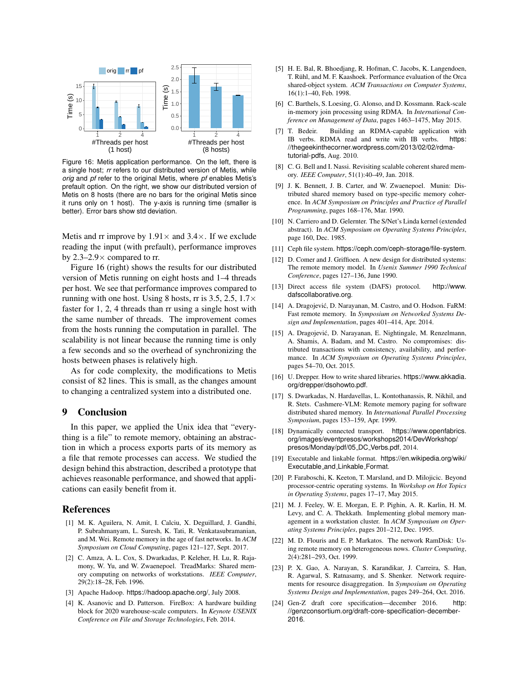

Figure 16: Metis application performance. On the left, there is a single host; *rr* refers to our distributed version of Metis, while *orig* and *pf* refer to the original Metis, where *pf* enables Metis's prefault option. On the right, we show our distributed version of Metis on 8 hosts (there are no bars for the original Metis since it runs only on 1 host). The y-axis is running time (smaller is better). Error bars show std deviation.

Metis and rr improve by  $1.91 \times$  and  $3.4 \times$ . If we exclude reading the input (with prefault), performance improves by 2.3–2.9 $\times$  compared to rr.

Figure 16 (right) shows the results for our distributed version of Metis running on eight hosts and 1–4 threads per host. We see that performance improves compared to running with one host. Using 8 hosts, rr is 3.5, 2.5,  $1.7\times$ faster for 1, 2, 4 threads than rr using a single host with the same number of threads. The improvement comes from the hosts running the computation in parallel. The scalability is not linear because the running time is only a few seconds and so the overhead of synchronizing the hosts between phases is relatively high.

As for code complexity, the modifications to Metis consist of 82 lines. This is small, as the changes amount to changing a centralized system into a distributed one.

### 9 Conclusion

In this paper, we applied the Unix idea that "everything is a file" to remote memory, obtaining an abstraction in which a process exports parts of its memory as a file that remote processes can access. We studied the design behind this abstraction, described a prototype that achieves reasonable performance, and showed that applications can easily benefit from it.

#### References

- [1] M. K. Aguilera, N. Amit, I. Calciu, X. Deguillard, J. Gandhi, P. Subrahmanyam, L. Suresh, K. Tati, R. Venkatasubramanian, and M. Wei. Remote memory in the age of fast networks. In *ACM Symposium on Cloud Computing*, pages 121–127, Sept. 2017.
- [2] C. Amza, A. L. Cox, S. Dwarkadas, P. Keleher, H. Lu, R. Rajamony, W. Yu, and W. Zwaenepoel. TreadMarks: Shared memory computing on networks of workstations. *IEEE Computer*, 29(2):18–28, Feb. 1996.
- [3] Apache Hadoop. https://hadoop.apache.org/, July 2008.
- [4] K. Asanovic and D. Patterson. FireBox: A hardware building block for 2020 warehouse-scale computers. In *Keynote USENIX Conference on File and Storage Technologies*, Feb. 2014.
- [5] H. E. Bal, R. Bhoedjang, R. Hofman, C. Jacobs, K. Langendoen, T. Ruhl, and M. F. Kaashoek. Performance evaluation of the Orca ¨ shared-object system. *ACM Transactions on Computer Systems*, 16(1):1–40, Feb. 1998.
- [6] C. Barthels, S. Loesing, G. Alonso, and D. Kossmann. Rack-scale in-memory join processing using RDMA. In *International Conference on Management of Data*, pages 1463–1475, May 2015.
- [7] T. Bedeir. Building an RDMA-capable application with IB verbs. RDMA read and write with IB verbs. https: //thegeekinthecorner.wordpress.com/2013/02/02/rdmatutorial-pdfs, Aug. 2010.
- [8] C. G. Bell and I. Nassi. Revisiting scalable coherent shared memory. *IEEE Computer*, 51(1):40–49, Jan. 2018.
- [9] J. K. Bennett, J. B. Carter, and W. Zwaenepoel. Munin: Distributed shared memory based on type-specific memory coherence. In *ACM Symposium on Principles and Practice of Parallel Programming*, pages 168–176, Mar. 1990.
- [10] N. Carriero and D. Gelernter. The S/Net's Linda kernel (extended abstract). In *ACM Symposium on Operating Systems Principles*, page 160, Dec. 1985.
- [11] Ceph file system. https://ceph.com/ceph-storage/file-system.
- [12] D. Comer and J. Griffioen. A new design for distributed systems: The remote memory model. In *Usenix Summer 1990 Technical Conference*, pages 127–136, June 1990.
- [13] Direct access file system (DAFS) protocol. http://www. dafscollaborative.org.
- [14] A. Dragojević, D. Narayanan, M. Castro, and O. Hodson. FaRM: Fast remote memory. In *Symposium on Networked Systems Design and Implementation*, pages 401–414, Apr. 2014.
- [15] A. Dragojević, D. Narayanan, E. Nightingale, M. Renzelmann, A. Shamis, A. Badam, and M. Castro. No compromises: distributed transactions with consistency, availability, and performance. In *ACM Symposium on Operating Systems Principles*, pages 54–70, Oct. 2015.
- [16] U. Drepper. How to write shared libraries. https://www.akkadia. org/drepper/dsohowto.pdf.
- [17] S. Dwarkadas, N. Hardavellas, L. Kontothanassis, R. Nikhil, and R. Stets. Cashmere-VLM: Remote memory paging for software distributed shared memory. In *International Parallel Processing Symposium*, pages 153–159, Apr. 1999.
- [18] Dynamically connected transport. https://www.openfabrics. org/images/eventpresos/workshops2014/DevWorkshop/ presos/Monday/pdf/05 DC Verbs.pdf, 2014.
- [19] Executable and linkable format. https://en.wikipedia.org/wiki/ Executable and Linkable Format.
- [20] P. Faraboschi, K. Keeton, T. Marsland, and D. Milojicic. Beyond processor-centric operating systems. In *Workshop on Hot Topics in Operating Systems*, pages 17–17, May 2015.
- [21] M. J. Feeley, W. E. Morgan, E. P. Pighin, A. R. Karlin, H. M. Levy, and C. A. Thekkath. Implementing global memory management in a workstation cluster. In *ACM Symposium on Operating Systems Principles*, pages 201–212, Dec. 1995.
- [22] M. D. Flouris and E. P. Markatos. The network RamDisk: Using remote memory on heterogeneous nows. *Cluster Computing*, 2(4):281–293, Oct. 1999.
- [23] P. X. Gao, A. Narayan, S. Karandikar, J. Carreira, S. Han, R. Agarwal, S. Ratnasamy, and S. Shenker. Network requirements for resource disaggregation. In *Symposium on Operating Systems Design and Implementation*, pages 249–264, Oct. 2016.
- [24] Gen-Z draft core specification—december 2016. http: //genzconsortium.org/draft-core-specification-december-2016.